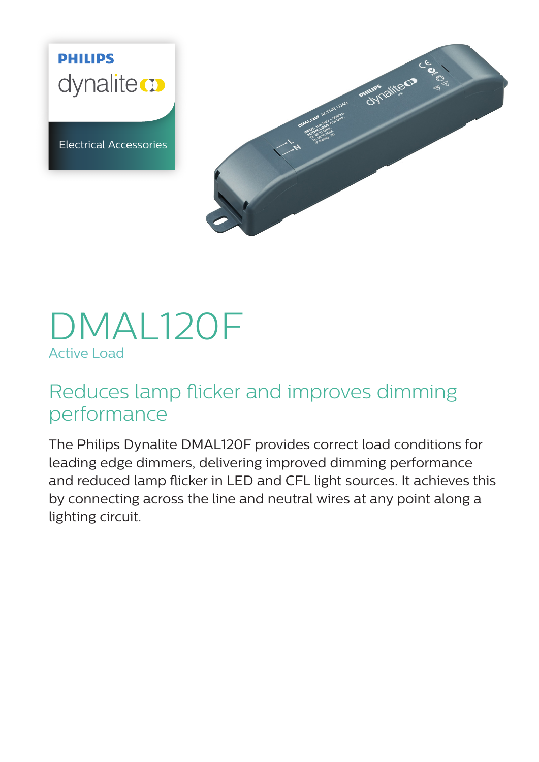**PHILIPS** dynaliteco

Electrical Accessories



# DMAL120F Active Load

# Reduces lamp flicker and improves dimming performance

The Philips Dynalite DMAL120F provides correct load conditions for leading edge dimmers, delivering improved dimming performance and reduced lamp flicker in LED and CFL light sources. It achieves this by connecting across the line and neutral wires at any point along a lighting circuit.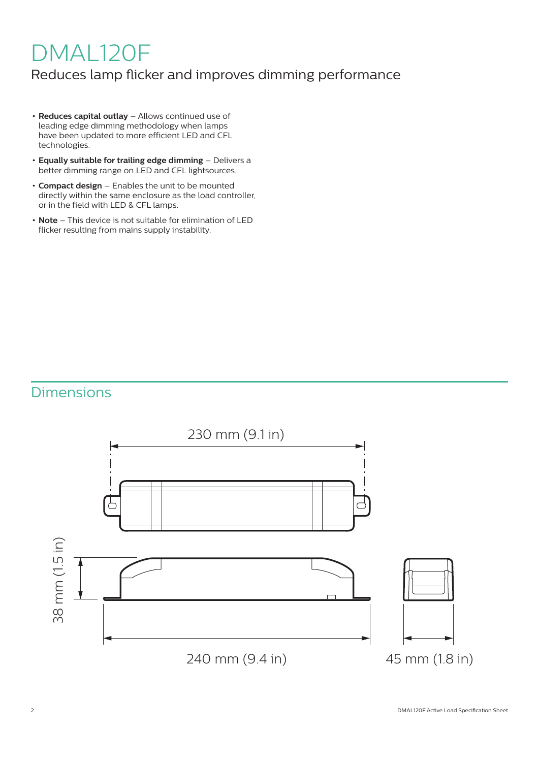# DMAL120F

### Reduces lamp flicker and improves dimming performance

- **• Reduces capital outlay** Allows continued use of leading edge dimming methodology when lamps have been updated to more efficient LED and CFL technologies.
- **• Equally suitable for trailing edge dimming** Delivers a better dimming range on LED and CFL lightsources.
- **• Compact design** Enables the unit to be mounted directly within the same enclosure as the load controller, or in the field with LED & CFL lamps.
- **• Note** This device is not suitable for elimination of LED flicker resulting from mains supply instability.

## Dimensions

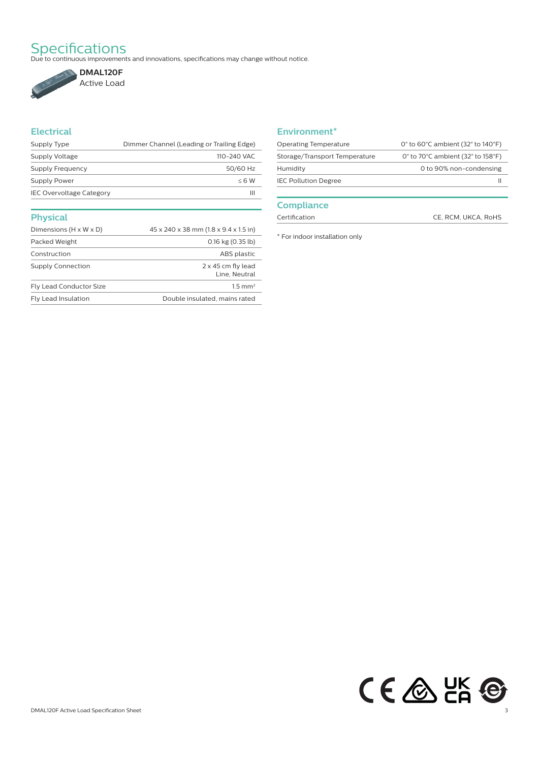Specifications<br>Due to continuous improvements and innovations, specifications may change without notice.



### **Electrical**

| Supply Type                     | Dimmer Channel (Leading or Trailing Edge) |
|---------------------------------|-------------------------------------------|
| Supply Voltage                  | 110-240 VAC                               |
| Supply Frequency                | 50/60 Hz                                  |
| Supply Power                    | $< 6$ W                                   |
| <b>IEC Overvoltage Category</b> | Ш                                         |
|                                 |                                           |
| <b>Physical</b>                 |                                           |

| Dimensions (H x W x D)   | 45 x 240 x 38 mm (1.8 x 9.4 x 1.5 in)      |
|--------------------------|--------------------------------------------|
| Packed Weight            | $0.16$ kg $(0.35$ lb)                      |
| Construction             | ABS plastic                                |
| <b>Supply Connection</b> | $2 \times 45$ cm fly lead<br>Line, Neutral |
| Fly Lead Conductor Size  | $1.5$ mm <sup>2</sup>                      |
| Fly Lead Insulation      | Double insulated, mains rated              |
|                          |                                            |

#### **Environment\***

| <b>Operating Temperature</b>  | 0 $\degree$ to 60 $\degree$ C ambient (32 $\degree$ to 140 $\degree$ F) |
|-------------------------------|-------------------------------------------------------------------------|
| Storage/Transport Temperature | 0 $\degree$ to 70 $\degree$ C ambient (32 $\degree$ to 158 $\degree$ F) |
| Humidity                      | 0 to 90% non-condensing                                                 |
| <b>IEC Pollution Degree</b>   |                                                                         |
|                               |                                                                         |

#### **Compliance**

Certification CE, RCM, UKCA, RoHS

\* For indoor installation only